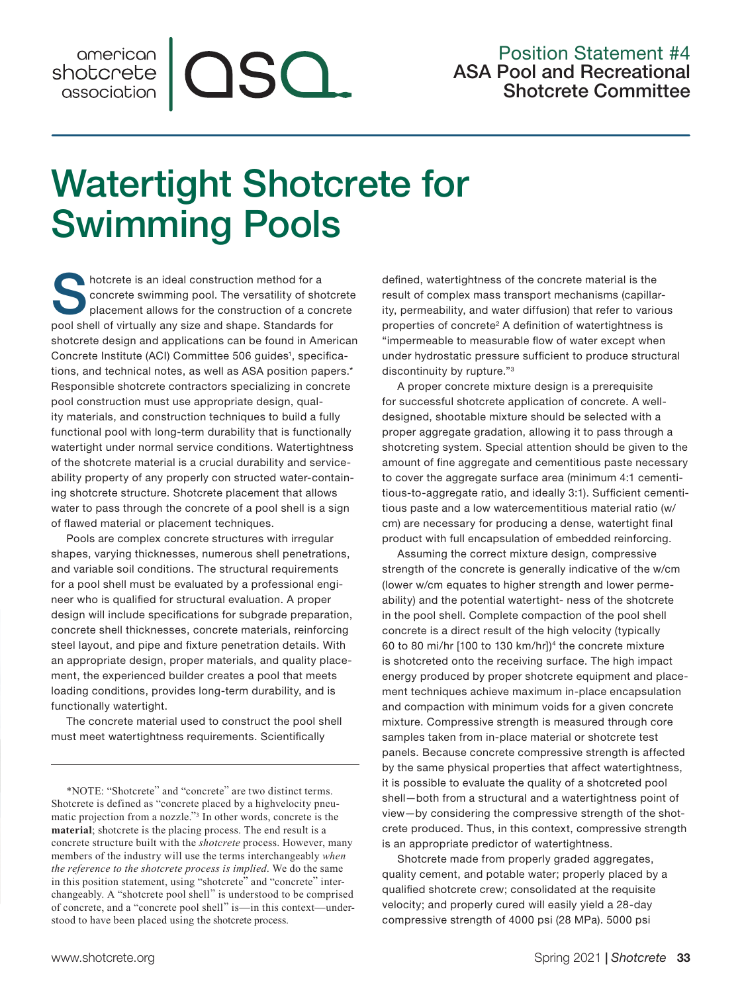## Position Statement #4 ASA Pool and Recreational Shotcrete Committee

## Watertight Shotcrete for Swimming Pools

QSQ.

Shotcrete is an ideal construction method for a<br>concrete swimming pool. The versatility of sho<br>placement allows for the construction of a conconcrete swimming pool. The versatility of shotcrete placement allows for the construction of a concrete pool shell of virtually any size and shape. Standards for shotcrete design and applications can be found in American Concrete Institute (ACI) Committee 506 guides<sup>1</sup>, specifications, and technical notes, as well as ASA position papers.\* Responsible shotcrete contractors specializing in concrete pool construction must use appropriate design, quality materials, and construction techniques to build a fully functional pool with long-term durability that is functionally watertight under normal service conditions. Watertightness of the shotcrete material is a crucial durability and serviceability property of any properly con structed water-containing shotcrete structure. Shotcrete placement that allows water to pass through the concrete of a pool shell is a sign of flawed material or placement techniques.

Pools are complex concrete structures with irregular shapes, varying thicknesses, numerous shell penetrations, and variable soil conditions. The structural requirements for a pool shell must be evaluated by a professional engineer who is qualified for structural evaluation. A proper design will include specifications for subgrade preparation, concrete shell thicknesses, concrete materials, reinforcing steel layout, and pipe and fixture penetration details. With an appropriate design, proper materials, and quality placement, the experienced builder creates a pool that meets loading conditions, provides long-term durability, and is functionally watertight.

The concrete material used to construct the pool shell must meet watertightness requirements. Scientifically

\*NOTE: "Shotcrete" and "concrete" are two distinct terms. Shotcrete is defined as "concrete placed by a highvelocity pneumatic projection from a nozzle."3 In other words, concrete is the **material**; shotcrete is the placing process. The end result is a concrete structure built with the *shotcrete* process. However, many members of the industry will use the terms interchangeably *when the reference to the shotcrete process is implied*. We do the same in this position statement, using "shotcrete" and "concrete" interchangeably. A "shotcrete pool shell" is understood to be comprised of concrete, and a "concrete pool shell" is—in this context—understood to have been placed using the shotcrete process.

defined, watertightness of the concrete material is the result of complex mass transport mechanisms (capillarity, permeability, and water diffusion) that refer to various properties of concrete<sup>2</sup> A definition of watertightness is "impermeable to measurable flow of water except when under hydrostatic pressure sufficient to produce structural discontinuity by rupture."3

A proper concrete mixture design is a prerequisite for successful shotcrete application of concrete. A welldesigned, shootable mixture should be selected with a proper aggregate gradation, allowing it to pass through a shotcreting system. Special attention should be given to the amount of fine aggregate and cementitious paste necessary to cover the aggregate surface area (minimum 4:1 cementitious-to-aggregate ratio, and ideally 3:1). Sufficient cementitious paste and a low watercementitious material ratio (w/ cm) are necessary for producing a dense, watertight final product with full encapsulation of embedded reinforcing.

Assuming the correct mixture design, compressive strength of the concrete is generally indicative of the w/cm (lower w/cm equates to higher strength and lower permeability) and the potential watertight- ness of the shotcrete in the pool shell. Complete compaction of the pool shell concrete is a direct result of the high velocity (typically 60 to 80 mi/hr [100 to 130 km/hr])4 the concrete mixture is shotcreted onto the receiving surface. The high impact energy produced by proper shotcrete equipment and placement techniques achieve maximum in-place encapsulation and compaction with minimum voids for a given concrete mixture. Compressive strength is measured through core samples taken from in-place material or shotcrete test panels. Because concrete compressive strength is affected by the same physical properties that affect watertightness, it is possible to evaluate the quality of a shotcreted pool shell—both from a structural and a watertightness point of view—by considering the compressive strength of the shotcrete produced. Thus, in this context, compressive strength is an appropriate predictor of watertightness.

Shotcrete made from properly graded aggregates, quality cement, and potable water; properly placed by a qualified shotcrete crew; consolidated at the requisite velocity; and properly cured will easily yield a 28-day compressive strength of 4000 psi (28 MPa). 5000 psi